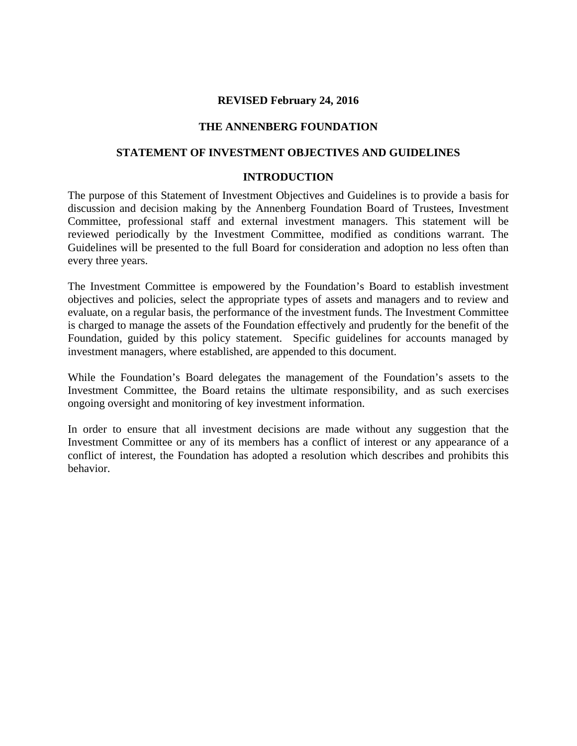### **REVISED February 24, 2016**

### **THE ANNENBERG FOUNDATION**

### **STATEMENT OF INVESTMENT OBJECTIVES AND GUIDELINES**

#### **INTRODUCTION**

The purpose of this Statement of Investment Objectives and Guidelines is to provide a basis for discussion and decision making by the Annenberg Foundation Board of Trustees, Investment Committee, professional staff and external investment managers. This statement will be reviewed periodically by the Investment Committee, modified as conditions warrant. The Guidelines will be presented to the full Board for consideration and adoption no less often than every three years.

The Investment Committee is empowered by the Foundation's Board to establish investment objectives and policies, select the appropriate types of assets and managers and to review and evaluate, on a regular basis, the performance of the investment funds. The Investment Committee is charged to manage the assets of the Foundation effectively and prudently for the benefit of the Foundation, guided by this policy statement. Specific guidelines for accounts managed by investment managers, where established, are appended to this document.

While the Foundation's Board delegates the management of the Foundation's assets to the Investment Committee, the Board retains the ultimate responsibility, and as such exercises ongoing oversight and monitoring of key investment information.

In order to ensure that all investment decisions are made without any suggestion that the Investment Committee or any of its members has a conflict of interest or any appearance of a conflict of interest, the Foundation has adopted a resolution which describes and prohibits this behavior.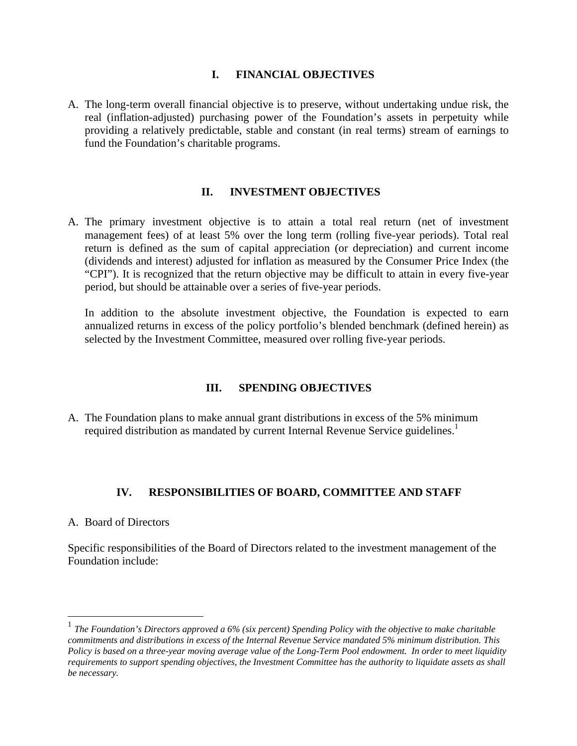### **I. FINANCIAL OBJECTIVES**

A. The long-term overall financial objective is to preserve, without undertaking undue risk, the real (inflation-adjusted) purchasing power of the Foundation's assets in perpetuity while providing a relatively predictable, stable and constant (in real terms) stream of earnings to fund the Foundation's charitable programs.

## **II. INVESTMENT OBJECTIVES**

A. The primary investment objective is to attain a total real return (net of investment management fees) of at least 5% over the long term (rolling five-year periods). Total real return is defined as the sum of capital appreciation (or depreciation) and current income (dividends and interest) adjusted for inflation as measured by the Consumer Price Index (the "CPI"). It is recognized that the return objective may be difficult to attain in every five-year period, but should be attainable over a series of five-year periods.

In addition to the absolute investment objective, the Foundation is expected to earn annualized returns in excess of the policy portfolio's blended benchmark (defined herein) as selected by the Investment Committee, measured over rolling five-year periods.

## **III. SPENDING OBJECTIVES**

A. The Foundation plans to make annual grant distributions in excess of the 5% minimum required distribution as mandated by current Internal Revenue Service guidelines.<sup>1</sup>

## **IV. RESPONSIBILITIES OF BOARD, COMMITTEE AND STAFF**

### A. Board of Directors

1

Specific responsibilities of the Board of Directors related to the investment management of the Foundation include:

<sup>1</sup> *The Foundation's Directors approved a 6% (six percent) Spending Policy with the objective to make charitable commitments and distributions in excess of the Internal Revenue Service mandated 5% minimum distribution. This Policy is based on a three-year moving average value of the Long-Term Pool endowment. In order to meet liquidity requirements to support spending objectives, the Investment Committee has the authority to liquidate assets as shall be necessary.*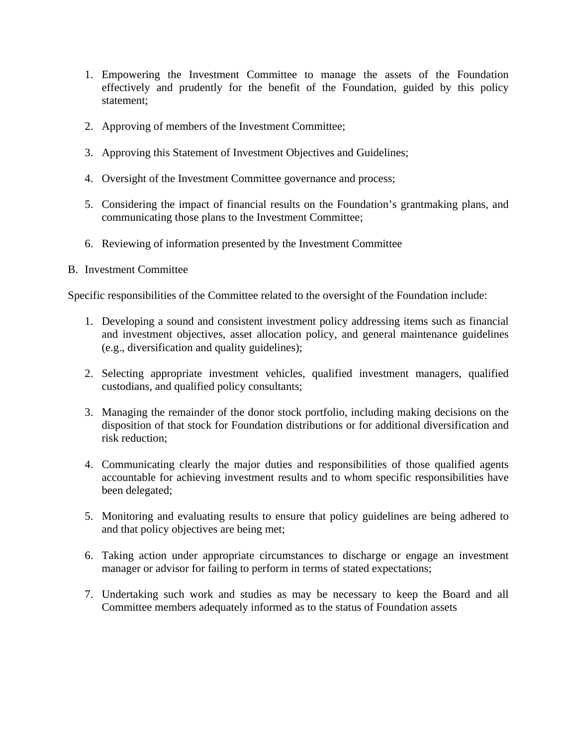- 1. Empowering the Investment Committee to manage the assets of the Foundation effectively and prudently for the benefit of the Foundation, guided by this policy statement;
- 2. Approving of members of the Investment Committee;
- 3. Approving this Statement of Investment Objectives and Guidelines;
- 4. Oversight of the Investment Committee governance and process;
- 5. Considering the impact of financial results on the Foundation's grantmaking plans, and communicating those plans to the Investment Committee;
- 6. Reviewing of information presented by the Investment Committee
- B. Investment Committee

Specific responsibilities of the Committee related to the oversight of the Foundation include:

- 1. Developing a sound and consistent investment policy addressing items such as financial and investment objectives, asset allocation policy, and general maintenance guidelines (e.g., diversification and quality guidelines);
- 2. Selecting appropriate investment vehicles, qualified investment managers, qualified custodians, and qualified policy consultants;
- 3. Managing the remainder of the donor stock portfolio, including making decisions on the disposition of that stock for Foundation distributions or for additional diversification and risk reduction;
- 4. Communicating clearly the major duties and responsibilities of those qualified agents accountable for achieving investment results and to whom specific responsibilities have been delegated;
- 5. Monitoring and evaluating results to ensure that policy guidelines are being adhered to and that policy objectives are being met;
- 6. Taking action under appropriate circumstances to discharge or engage an investment manager or advisor for failing to perform in terms of stated expectations;
- 7. Undertaking such work and studies as may be necessary to keep the Board and all Committee members adequately informed as to the status of Foundation assets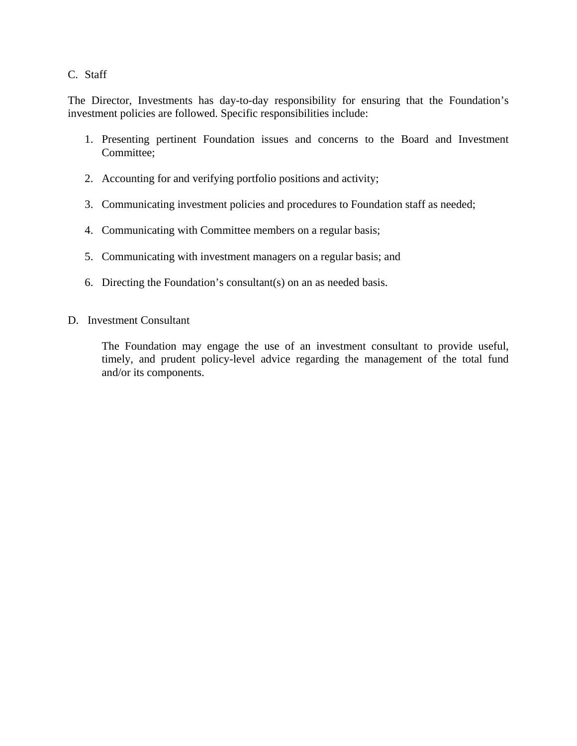### C. Staff

The Director, Investments has day-to-day responsibility for ensuring that the Foundation's investment policies are followed. Specific responsibilities include:

- 1. Presenting pertinent Foundation issues and concerns to the Board and Investment Committee;
- 2. Accounting for and verifying portfolio positions and activity;
- 3. Communicating investment policies and procedures to Foundation staff as needed;
- 4. Communicating with Committee members on a regular basis;
- 5. Communicating with investment managers on a regular basis; and
- 6. Directing the Foundation's consultant(s) on an as needed basis.
- D. Investment Consultant

The Foundation may engage the use of an investment consultant to provide useful, timely, and prudent policy-level advice regarding the management of the total fund and/or its components.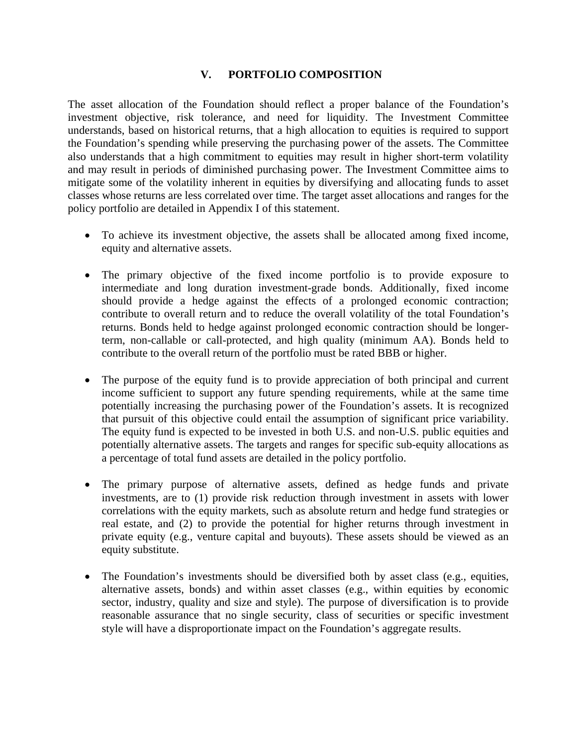## **V. PORTFOLIO COMPOSITION**

The asset allocation of the Foundation should reflect a proper balance of the Foundation's investment objective, risk tolerance, and need for liquidity. The Investment Committee understands, based on historical returns, that a high allocation to equities is required to support the Foundation's spending while preserving the purchasing power of the assets. The Committee also understands that a high commitment to equities may result in higher short-term volatility and may result in periods of diminished purchasing power. The Investment Committee aims to mitigate some of the volatility inherent in equities by diversifying and allocating funds to asset classes whose returns are less correlated over time. The target asset allocations and ranges for the policy portfolio are detailed in Appendix I of this statement.

- To achieve its investment objective, the assets shall be allocated among fixed income, equity and alternative assets.
- The primary objective of the fixed income portfolio is to provide exposure to intermediate and long duration investment-grade bonds. Additionally, fixed income should provide a hedge against the effects of a prolonged economic contraction; contribute to overall return and to reduce the overall volatility of the total Foundation's returns. Bonds held to hedge against prolonged economic contraction should be longerterm, non-callable or call-protected, and high quality (minimum AA). Bonds held to contribute to the overall return of the portfolio must be rated BBB or higher.
- The purpose of the equity fund is to provide appreciation of both principal and current income sufficient to support any future spending requirements, while at the same time potentially increasing the purchasing power of the Foundation's assets. It is recognized that pursuit of this objective could entail the assumption of significant price variability. The equity fund is expected to be invested in both U.S. and non-U.S. public equities and potentially alternative assets. The targets and ranges for specific sub-equity allocations as a percentage of total fund assets are detailed in the policy portfolio.
- The primary purpose of alternative assets, defined as hedge funds and private investments, are to (1) provide risk reduction through investment in assets with lower correlations with the equity markets, such as absolute return and hedge fund strategies or real estate, and (2) to provide the potential for higher returns through investment in private equity (e.g., venture capital and buyouts). These assets should be viewed as an equity substitute.
- The Foundation's investments should be diversified both by asset class (e.g., equities, alternative assets, bonds) and within asset classes (e.g., within equities by economic sector, industry, quality and size and style). The purpose of diversification is to provide reasonable assurance that no single security, class of securities or specific investment style will have a disproportionate impact on the Foundation's aggregate results.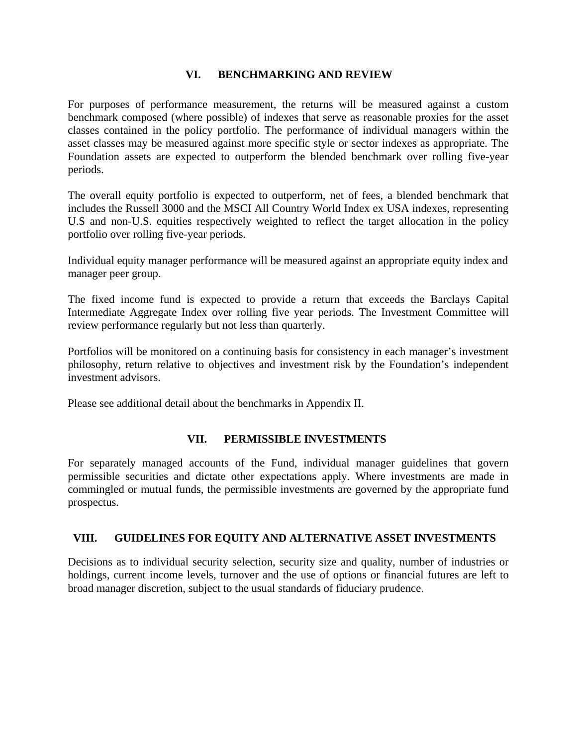## **VI. BENCHMARKING AND REVIEW**

For purposes of performance measurement, the returns will be measured against a custom benchmark composed (where possible) of indexes that serve as reasonable proxies for the asset classes contained in the policy portfolio. The performance of individual managers within the asset classes may be measured against more specific style or sector indexes as appropriate. The Foundation assets are expected to outperform the blended benchmark over rolling five-year periods.

The overall equity portfolio is expected to outperform, net of fees, a blended benchmark that includes the Russell 3000 and the MSCI All Country World Index ex USA indexes, representing U.S and non-U.S. equities respectively weighted to reflect the target allocation in the policy portfolio over rolling five-year periods.

Individual equity manager performance will be measured against an appropriate equity index and manager peer group.

The fixed income fund is expected to provide a return that exceeds the Barclays Capital Intermediate Aggregate Index over rolling five year periods. The Investment Committee will review performance regularly but not less than quarterly.

Portfolios will be monitored on a continuing basis for consistency in each manager's investment philosophy, return relative to objectives and investment risk by the Foundation's independent investment advisors.

Please see additional detail about the benchmarks in Appendix II.

### **VII. PERMISSIBLE INVESTMENTS**

For separately managed accounts of the Fund, individual manager guidelines that govern permissible securities and dictate other expectations apply. Where investments are made in commingled or mutual funds, the permissible investments are governed by the appropriate fund prospectus.

### **VIII. GUIDELINES FOR EQUITY AND ALTERNATIVE ASSET INVESTMENTS**

Decisions as to individual security selection, security size and quality, number of industries or holdings, current income levels, turnover and the use of options or financial futures are left to broad manager discretion, subject to the usual standards of fiduciary prudence.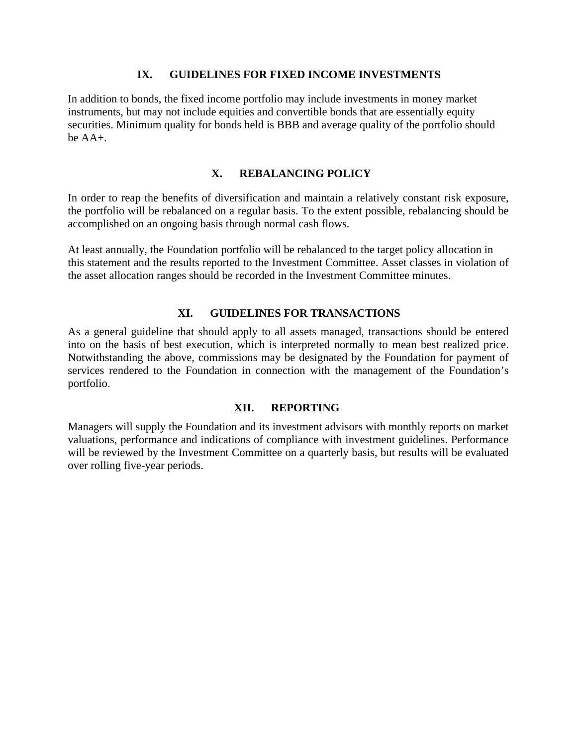### **IX. GUIDELINES FOR FIXED INCOME INVESTMENTS**

In addition to bonds, the fixed income portfolio may include investments in money market instruments, but may not include equities and convertible bonds that are essentially equity securities. Minimum quality for bonds held is BBB and average quality of the portfolio should be  $AA+$ .

### **X. REBALANCING POLICY**

In order to reap the benefits of diversification and maintain a relatively constant risk exposure, the portfolio will be rebalanced on a regular basis. To the extent possible, rebalancing should be accomplished on an ongoing basis through normal cash flows.

At least annually, the Foundation portfolio will be rebalanced to the target policy allocation in this statement and the results reported to the Investment Committee. Asset classes in violation of the asset allocation ranges should be recorded in the Investment Committee minutes.

### **XI. GUIDELINES FOR TRANSACTIONS**

As a general guideline that should apply to all assets managed, transactions should be entered into on the basis of best execution, which is interpreted normally to mean best realized price. Notwithstanding the above, commissions may be designated by the Foundation for payment of services rendered to the Foundation in connection with the management of the Foundation's portfolio.

### **XII. REPORTING**

Managers will supply the Foundation and its investment advisors with monthly reports on market valuations, performance and indications of compliance with investment guidelines. Performance will be reviewed by the Investment Committee on a quarterly basis, but results will be evaluated over rolling five-year periods.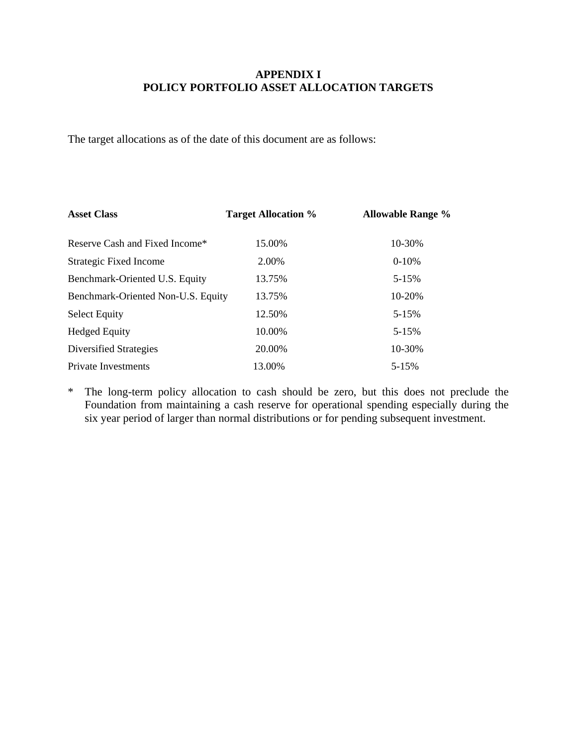## **APPENDIX I POLICY PORTFOLIO ASSET ALLOCATION TARGETS**

The target allocations as of the date of this document are as follows:

| <b>Asset Class</b>                 | <b>Target Allocation %</b> | <b>Allowable Range %</b> |
|------------------------------------|----------------------------|--------------------------|
| Reserve Cash and Fixed Income*     | 15.00%                     | 10-30%                   |
| <b>Strategic Fixed Income</b>      | 2.00%                      | $0-10%$                  |
| Benchmark-Oriented U.S. Equity     | 13.75%                     | 5-15%                    |
| Benchmark-Oriented Non-U.S. Equity | 13.75%                     | 10-20%                   |
| <b>Select Equity</b>               | 12.50%                     | $5 - 15%$                |
| <b>Hedged Equity</b>               | 10.00%                     | $5 - 15%$                |
| Diversified Strategies             | 20.00%                     | 10-30%                   |
| <b>Private Investments</b>         | 13.00%                     | 5-15%                    |

\* The long-term policy allocation to cash should be zero, but this does not preclude the Foundation from maintaining a cash reserve for operational spending especially during the six year period of larger than normal distributions or for pending subsequent investment.